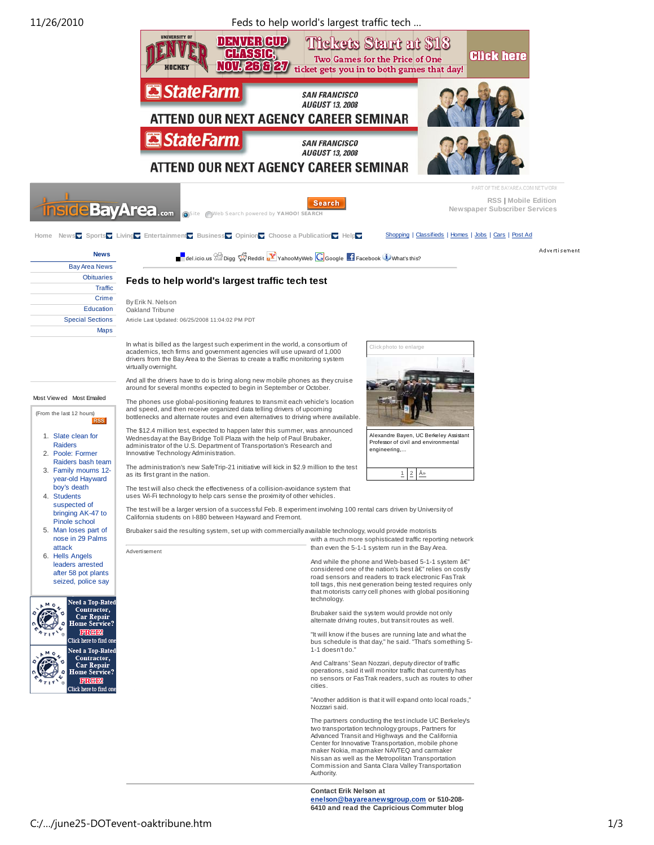11/26/2010 Feds to help world's largest traffic tech … UNIVERSITY OI DENVERGUP **Tickets Start at \$18 AHISSIR Glick here** Two Games for the Price of One NOV. 26 & 27 ticket gets you in to both games that day! **StateFarm SAN FRANCISCO AUGUST 13, 2008** ATTEND OUR NEXT AGENCY CAREER SEMINAR **El State Farm SAN FRANCISCO AUGUST 13, 2008** ATTEND OUR NEXT AGENCY CAREER SEMINAR PART OF THE RAYAREA COM NETWORK **RSS | Mobile Edition** Search **eBayArea**...... **Newspaper Subscriber Services Neb Search powered by YAHOO!** SE **Home** News Sports **Living Entertainment Business** Opinion Choose a Publication **Help** Shopping | Classifieds | Homes | Jobs | Cars | Post Ad Advertisement **News**  $\blacksquare$  del.icio.us  $\mathbb{S}^{\square}$  Digg  $\mathbb{S}^{\square}$  Reddit  $\blacksquare$  YahooMyWeb  $\square$  Google  $\blacksquare$  Facebook  $\blacksquare$  What's this? Bay Area News **Obituaries Feds to help world's largest traffic tech test Traffic** Crime By Erik N. Nelson Education Oakland Tribune Special Sections Article Last Updated: 06/25/2008 11:04:02 PM PDT Maps In what is billed as the largest such experiment in the world, a consortium of ick photo to enlarge academics, tech firms and government agencies will use upward of 1,000 drivers from the Bay Area to the Sierras to create a traffic monitoring system virtually overnight. And all the drivers have to do is bring along new mobile phones as they cruise around for several months expected to begin in September or October. Most View ed Most Emailed The phones use global-positioning features to transmit each vehicle's location and speed, and then receive organized data telling drivers of upcoming (From the last 12 hours) bottlenecks and alternate routes and even alternatives to driving where available. The \$12.4 million test, expected to happen later this summer, was announced 1. Slate clean for Alexandre Bayen, UC Berkeley Assistant Professor of civil and environmental Wednesday at the Bay Bridge Toll Plaza with the help of Paul Brubaker, administrator of the U.S. Department of Transportation's Research and Raiders engineering,... 2. Poole: Former Innovative Technology Administration. Raiders bash team The administration's new SafeTrip-21 initiative will kick in \$2.9 million to the test 3. Family mourns 12-  $2 - \hat{A}$ » as its first grant in the nation. year-old Hayward boy's death The test will also check the effectiveness of a collision-avoidance system that 4. Students uses Wi-Fi technology to help cars sense the proximity of other vehicles. suspected of The test will be a larger version of a successful Feb. 8 experiment involving 100 rental cars driven by University of bringing AK-47 to California students on I-880 between Hayward and Fremont. Pinole school 5. Man loses part of Brubaker said the resulting system, set up with commercially available technology, would provide motorists nose in 29 Palms with a much more sophisticated traffic reporting network attack than even the 5-1-1 system run in the Bay Area. Advertisement 6. Hells Angels And while the phone and Web-based 5-1-1 system  $\hat{a}\in \mathbb{Z}$ leaders arrested considered one of the nation's best  $a \in r$  relies on costly after 58 pot plants road sensors and readers to track electronic FasTrak seized, police say toll tags, this next generation being tested requires only that motorists carry cell phones with global positioning technology. d a Top-Rate ontractor, Brubaker said the system would provide not only lepai alternate driving routes, but transit routes as well. "It will know if the buses are running late and what the bus schedule is that day," he said. "That's something 5 d a Top-Rate 1-1 doesn't do." Contractor, And Caltrans' Sean Nozzari, deputy director of traffic operations, said it will monitor traffic that currently has no sensors or FasTrak readers, such as routes to other cities. "Another addition is that it will expand onto local roads," Nozzari said. The partners conducting the test include UC Berkeley's two transportation technology groups, Partners for Advanced Transit and Highways and the California

> Commission and Santa Clara Valley Transportation Authority. **Contact Erik Nelson at**

Center for Innovative Transportation, mobile phone maker Nokia, mapmaker NAVTEQ and carmaker Nissan as well as the Metropolitan Transportation

**enelson@bayareanewsgroup.com or 510-208- 6410 and read the Capricious Commuter blog**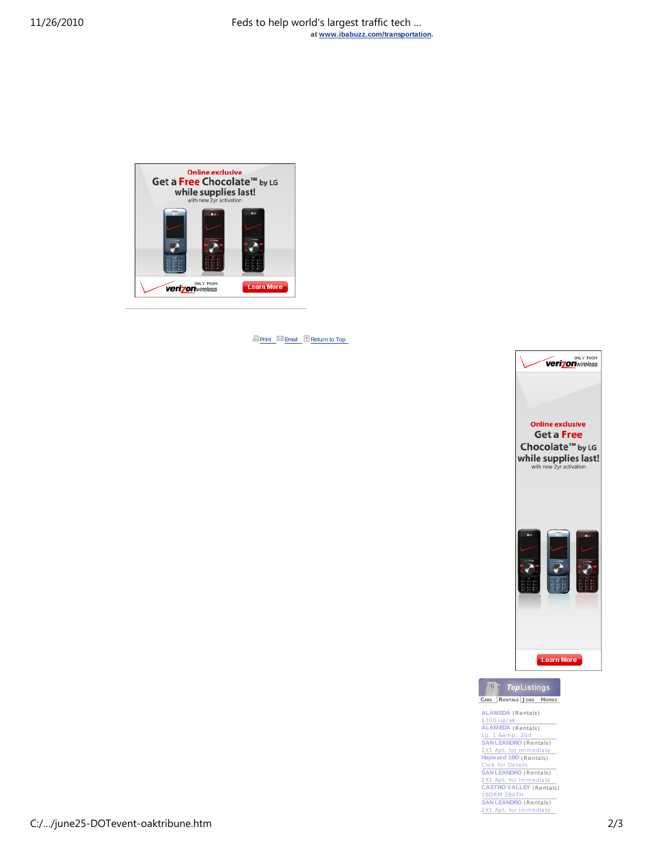

**Print** Email **Return to Top** 





**ALAMEDA** (Rentals) \$300 up/wk . **ALAMEDA** (Rentals) Lg. 1 &am p; 2bd **SAN LEANDRO** (Rentals) 2X1 Apt. for imm ediate **Hayward 1BD** (Rentals) Click for De tails **SAN LEANDRO** (Rentals) 2X1 Apt. for imm ediate **CASTRO VALLEY** (Rentals) 2BDRM 2BATH **SAN LEANDRO** (Rentals) 2X1 Apt. for i